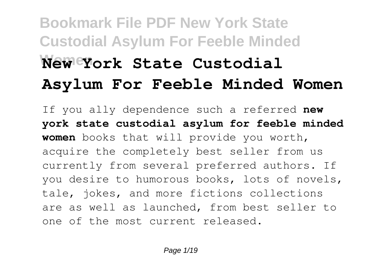# **Bookmark File PDF New York State Custodial Asylum For Feeble Minded Women New York State Custodial Asylum For Feeble Minded Women**

If you ally dependence such a referred **new york state custodial asylum for feeble minded women** books that will provide you worth, acquire the completely best seller from us currently from several preferred authors. If you desire to humorous books, lots of novels, tale, jokes, and more fictions collections are as well as launched, from best seller to one of the most current released.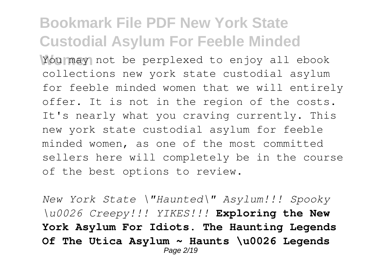You may not be perplexed to enjoy all ebook collections new york state custodial asylum for feeble minded women that we will entirely offer. It is not in the region of the costs. It's nearly what you craving currently. This new york state custodial asylum for feeble minded women, as one of the most committed sellers here will completely be in the course of the best options to review.

*New York State \"Haunted\" Asylum!!! Spooky \u0026 Creepy!!! YIKES!!!* **Exploring the New York Asylum For Idiots. The Haunting Legends Of The Utica Asylum ~ Haunts \u0026 Legends** Page 2/19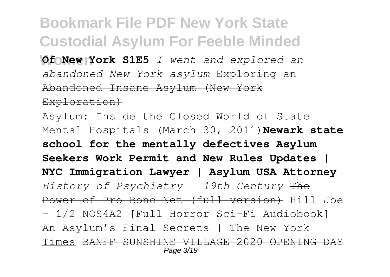**Women Of New York S1E5** *I went and explored an abandoned New York asylum* Exploring an Abandoned Insane Asylum (New York

Exploration)

Asylum: Inside the Closed World of State Mental Hospitals (March 30, 2011)**Newark state school for the mentally defectives Asylum Seekers Work Permit and New Rules Updates | NYC Immigration Lawyer | Asylum USA Attorney** *History of Psychiatry - 19th Century* The Power of Pro Bono Net (full version) Hill Joe - 1/2 NOS4A2 [Full Horror Sci-Fi Audiobook] An Asylum's Final Secrets | The New York Times BANFF SUNSHINE VILLAGE 2020 OPENING DAY Page 3/19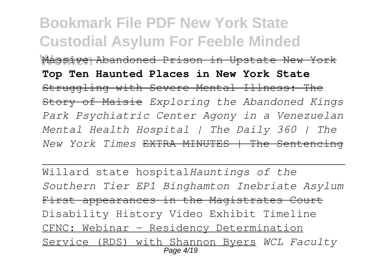Massive Abandoned Prison in Upstate New York **Top Ten Haunted Places in New York State** Struggling with Severe Mental Illness: The Story of Maisie *Exploring the Abandoned Kings Park Psychiatric Center Agony in a Venezuelan Mental Health Hospital | The Daily 360 | The New York Times* EXTRA MINUTES | The Sentencing

Willard state hospital*Hauntings of the Southern Tier EP1 Binghamton Inebriate Asylum* First appearances in the Magistrates Court Disability History Video Exhibit Timeline CFNC: Webinar - Residency Determination Service (RDS) with Shannon Byers *WCL Faculty* Page 4/19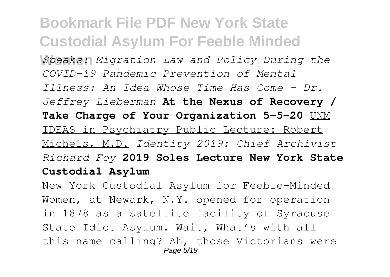**Women** *Speaks: Migration Law and Policy During the COVID-19 Pandemic Prevention of Mental Illness: An Idea Whose Time Has Come - Dr. Jeffrey Lieberman* **At the Nexus of Recovery / Take Charge of Your Organization 5-5-20** UNM IDEAS in Psychiatry Public Lecture: Robert Michels, M.D. *Identity 2019: Chief Archivist Richard Foy* **2019 Soles Lecture New York State Custodial Asylum**

New York Custodial Asylum for Feeble-Minded Women, at Newark, N.Y. opened for operation in 1878 as a satellite facility of Syracuse State Idiot Asylum. Wait, What's with all this name calling? Ah, those Victorians were Page 5/19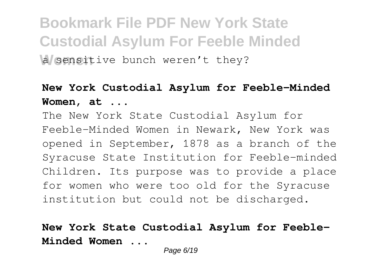#### **Bookmark File PDF New York State Custodial Asylum For Feeble Minded W** sensitive bunch weren't they?

#### **New York Custodial Asylum for Feeble-Minded Women, at ...**

The New York State Custodial Asylum for Feeble-Minded Women in Newark, New York was opened in September, 1878 as a branch of the Syracuse State Institution for Feeble-minded Children. Its purpose was to provide a place for women who were too old for the Syracuse institution but could not be discharged.

**New York State Custodial Asylum for Feeble-Minded Women ...**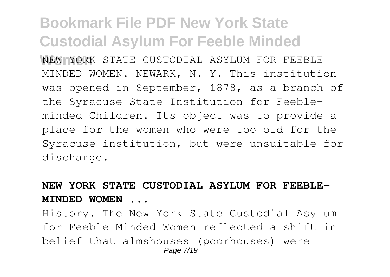**Women** NEW YORK STATE CUSTODIAL ASYLUM FOR FEEBLE-MINDED WOMEN. NEWARK, N. Y. This institution was opened in September, 1878, as a branch of the Syracuse State Institution for Feebleminded Children. Its object was to provide a place for the women who were too old for the Syracuse institution, but were unsuitable for discharge.

#### **NEW YORK STATE CUSTODIAL ASYLUM FOR FEEBLE-MINDED WOMEN ...**

History. The New York State Custodial Asylum for Feeble-Minded Women reflected a shift in belief that almshouses (poorhouses) were Page 7/19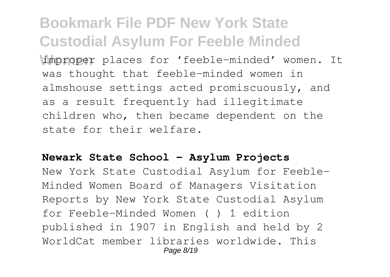improper places for 'feeble-minded' women. It was thought that feeble-minded women in almshouse settings acted promiscuously, and as a result frequently had illegitimate children who, then became dependent on the state for their welfare.

#### **Newark State School - Asylum Projects**

New York State Custodial Asylum for Feeble-Minded Women Board of Managers Visitation Reports by New York State Custodial Asylum for Feeble-Minded Women ( ) 1 edition published in 1907 in English and held by 2 WorldCat member libraries worldwide. This Page 8/19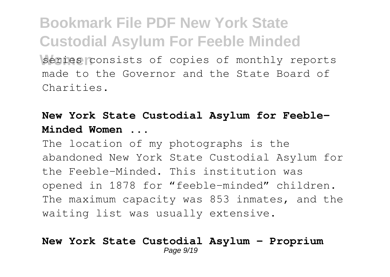series consists of copies of monthly reports made to the Governor and the State Board of Charities.

#### **New York State Custodial Asylum for Feeble-Minded Women ...**

The location of my photographs is the abandoned New York State Custodial Asylum for the Feeble-Minded. This institution was opened in 1878 for "feeble-minded" children. The maximum capacity was 853 inmates, and the waiting list was usually extensive.

#### **New York State Custodial Asylum – Proprium** Page  $9/19$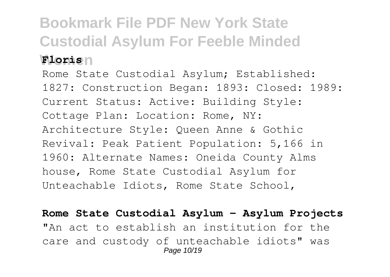Rome State Custodial Asylum; Established: 1827: Construction Began: 1893: Closed: 1989: Current Status: Active: Building Style: Cottage Plan: Location: Rome, NY: Architecture Style: Queen Anne & Gothic Revival: Peak Patient Population: 5,166 in 1960: Alternate Names: Oneida County Alms house, Rome State Custodial Asylum for Unteachable Idiots, Rome State School,

**Rome State Custodial Asylum - Asylum Projects** "An act to establish an institution for the care and custody of unteachable idiots" was Page 10/19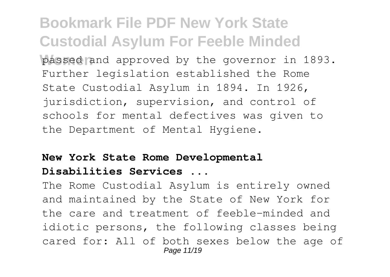passed and approved by the governor in 1893. Further legislation established the Rome State Custodial Asylum in 1894. In 1926, jurisdiction, supervision, and control of schools for mental defectives was given to the Department of Mental Hygiene.

#### **New York State Rome Developmental Disabilities Services ...**

The Rome Custodial Asylum is entirely owned and maintained by the State of New York for the care and treatment of feeble-minded and idiotic persons, the following classes being cared for: All of both sexes below the age of Page 11/19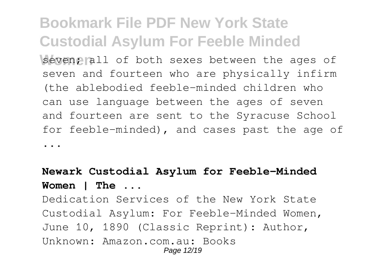**Weven, all of both sexes between the ages of** seven and fourteen who are physically infirm (the ablebodied feeble-minded children who can use language between the ages of seven and fourteen are sent to the Syracuse School for feeble-minded), and cases past the age of ...

#### **Newark Custodial Asylum for Feeble-Minded Women | The ...**

Dedication Services of the New York State Custodial Asylum: For Feeble-Minded Women, June 10, 1890 (Classic Reprint): Author, Unknown: Amazon.com.au: Books Page 12/19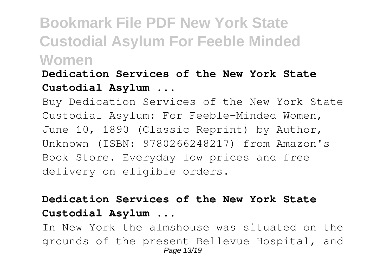#### **Dedication Services of the New York State Custodial Asylum ...**

Buy Dedication Services of the New York State Custodial Asylum: For Feeble-Minded Women, June 10, 1890 (Classic Reprint) by Author, Unknown (ISBN: 9780266248217) from Amazon's Book Store. Everyday low prices and free delivery on eligible orders.

#### **Dedication Services of the New York State Custodial Asylum ...**

In New York the almshouse was situated on the grounds of the present Bellevue Hospital, and Page 13/19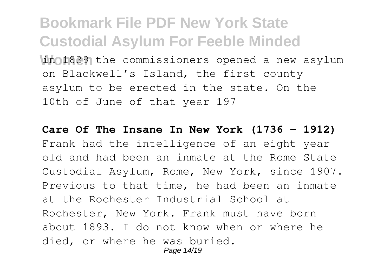in 1839 the commissioners opened a new asylum on Blackwell's Island, the first county asylum to be erected in the state. On the 10th of June of that year 197

**Care Of The Insane In New York (1736 – 1912)** Frank had the intelligence of an eight year old and had been an inmate at the Rome State Custodial Asylum, Rome, New York, since 1907. Previous to that time, he had been an inmate at the Rochester Industrial School at Rochester, New York. Frank must have born about 1893. I do not know when or where he died, or where he was buried. Page 14/19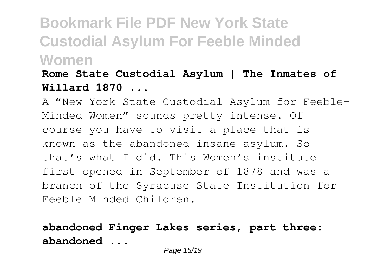#### **Rome State Custodial Asylum | The Inmates of Willard 1870 ...**

A "New York State Custodial Asylum for Feeble-Minded Women" sounds pretty intense. Of course you have to visit a place that is known as the abandoned insane asylum. So that's what I did. This Women's institute first opened in September of 1878 and was a branch of the Syracuse State Institution for Feeble-Minded Children.

**abandoned Finger Lakes series, part three: abandoned ...**

Page 15/19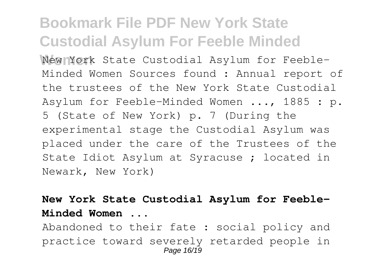**Women** New York State Custodial Asylum for Feeble-Minded Women Sources found : Annual report of the trustees of the New York State Custodial Asylum for Feeble-Minded Women ..., 1885 : p. 5 (State of New York) p. 7 (During the experimental stage the Custodial Asylum was placed under the care of the Trustees of the State Idiot Asylum at Syracuse ; located in Newark, New York)

#### **New York State Custodial Asylum for Feeble-Minded Women ...**

Abandoned to their fate : social policy and practice toward severely retarded people in Page 16/19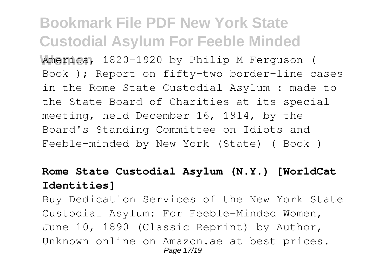America, 1820-1920 by Philip M Ferguson ( Book ); Report on fifty-two border-line cases in the Rome State Custodial Asylum : made to the State Board of Charities at its special meeting, held December 16, 1914, by the Board's Standing Committee on Idiots and Feeble-minded by New York (State) ( Book )

#### **Rome State Custodial Asylum (N.Y.) [WorldCat Identities]**

Buy Dedication Services of the New York State Custodial Asylum: For Feeble-Minded Women, June 10, 1890 (Classic Reprint) by Author, Unknown online on Amazon.ae at best prices. Page 17/19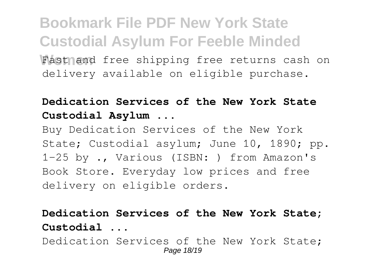#### **Bookmark File PDF New York State Custodial Asylum For Feeble Minded** Fast and free shipping free returns cash on delivery available on eligible purchase.

#### **Dedication Services of the New York State Custodial Asylum ...**

Buy Dedication Services of the New York State; Custodial asylum; June 10, 1890; pp. 1-25 by ., Various (ISBN: ) from Amazon's Book Store. Everyday low prices and free delivery on eligible orders.

**Dedication Services of the New York State; Custodial ...**

Dedication Services of the New York State; Page 18/19